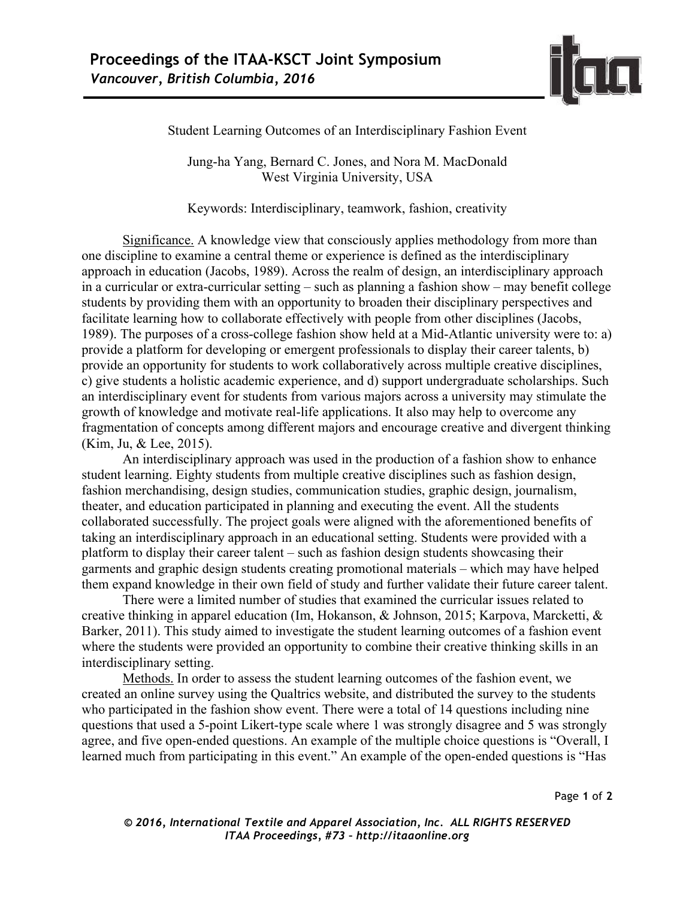

Student Learning Outcomes of an Interdisciplinary Fashion Event

Jung-ha Yang, Bernard C. Jones, and Nora M. MacDonald West Virginia University, USA

Keywords: Interdisciplinary, teamwork, fashion, creativity

Significance. A knowledge view that consciously applies methodology from more than one discipline to examine a central theme or experience is defined as the interdisciplinary approach in education (Jacobs, 1989). Across the realm of design, an interdisciplinary approach in a curricular or extra-curricular setting – such as planning a fashion show – may benefit college students by providing them with an opportunity to broaden their disciplinary perspectives and facilitate learning how to collaborate effectively with people from other disciplines (Jacobs, 1989). The purposes of a cross-college fashion show held at a Mid-Atlantic university were to: a) provide a platform for developing or emergent professionals to display their career talents, b) provide an opportunity for students to work collaboratively across multiple creative disciplines, c) give students a holistic academic experience, and d) support undergraduate scholarships. Such an interdisciplinary event for students from various majors across a university may stimulate the growth of knowledge and motivate real-life applications. It also may help to overcome any fragmentation of concepts among different majors and encourage creative and divergent thinking (Kim, Ju, & Lee, 2015).

An interdisciplinary approach was used in the production of a fashion show to enhance student learning. Eighty students from multiple creative disciplines such as fashion design, fashion merchandising, design studies, communication studies, graphic design, journalism, theater, and education participated in planning and executing the event. All the students collaborated successfully. The project goals were aligned with the aforementioned benefits of taking an interdisciplinary approach in an educational setting. Students were provided with a platform to display their career talent – such as fashion design students showcasing their garments and graphic design students creating promotional materials – which may have helped them expand knowledge in their own field of study and further validate their future career talent.

There were a limited number of studies that examined the curricular issues related to creative thinking in apparel education (Im, Hokanson, & Johnson, 2015; Karpova, Marcketti, & Barker, 2011). This study aimed to investigate the student learning outcomes of a fashion event where the students were provided an opportunity to combine their creative thinking skills in an interdisciplinary setting.

Methods. In order to assess the student learning outcomes of the fashion event, we created an online survey using the Qualtrics website, and distributed the survey to the students who participated in the fashion show event. There were a total of 14 questions including nine questions that used a 5-point Likert-type scale where 1 was strongly disagree and 5 was strongly agree, and five open-ended questions. An example of the multiple choice questions is "Overall, I learned much from participating in this event." An example of the open-ended questions is "Has

Page **1** of **2**